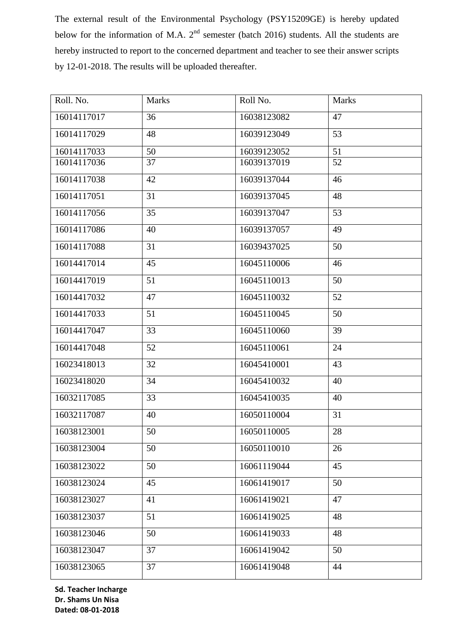The external result of the Environmental Psychology (PSY15209GE) is hereby updated below for the information of M.A.  $2<sup>nd</sup>$  semester (batch 2016) students. All the students are hereby instructed to report to the concerned department and teacher to see their answer scripts by 12-01-2018. The results will be uploaded thereafter.

| Roll. No.   | <b>Marks</b> | Roll No.    | <b>Marks</b> |
|-------------|--------------|-------------|--------------|
| 16014117017 | 36           | 16038123082 | 47           |
| 16014117029 | 48           | 16039123049 | 53           |
| 16014117033 | 50           | 16039123052 | 51           |
| 16014117036 | 37           | 16039137019 | 52           |
| 16014117038 | 42           | 16039137044 | 46           |
| 16014117051 | 31           | 16039137045 | 48           |
| 16014117056 | 35           | 16039137047 | 53           |
| 16014117086 | 40           | 16039137057 | 49           |
| 16014117088 | 31           | 16039437025 | 50           |
| 16014417014 | 45           | 16045110006 | 46           |
| 16014417019 | 51           | 16045110013 | 50           |
| 16014417032 | 47           | 16045110032 | 52           |
| 16014417033 | 51           | 16045110045 | 50           |
| 16014417047 | 33           | 16045110060 | 39           |
| 16014417048 | 52           | 16045110061 | 24           |
| 16023418013 | 32           | 16045410001 | 43           |
| 16023418020 | 34           | 16045410032 | 40           |
| 16032117085 | 33           | 16045410035 | 40           |
| 16032117087 | 40           | 16050110004 | 31           |
| 16038123001 | 50           | 16050110005 | 28           |
| 16038123004 | 50           | 16050110010 | 26           |
| 16038123022 | 50           | 16061119044 | 45           |
| 16038123024 | 45           | 16061419017 | 50           |
| 16038123027 | 41           | 16061419021 | 47           |
| 16038123037 | 51           | 16061419025 | 48           |
| 16038123046 | 50           | 16061419033 | 48           |
| 16038123047 | 37           | 16061419042 | 50           |
| 16038123065 | 37           | 16061419048 | 44           |

**Sd. Teacher Incharge Dr. Shams Un Nisa Dated: 08-01-2018**